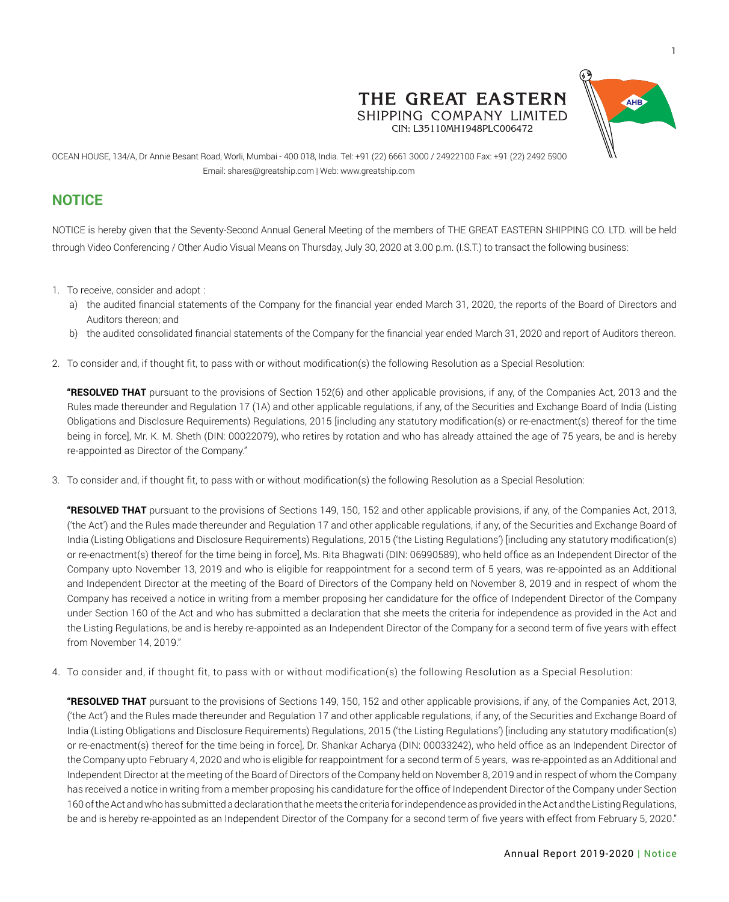

THE GREAT EASTERN SHIPPING COMPANY LIMITED CIN: L35110MH1948PLC006472

OCEAN HOUSE, 134/A, Dr Annie Besant Road, Worli, Mumbai - 400 018, India. Tel: +91 (22) 6661 3000 / 24922100 Fax: +91 (22) 2492 5900 Email: shares@greatship.com | Web: www.greatship.com

# **NOTICE**

NOTICE is hereby given that the Seventy-Second Annual General Meeting of the members of THE GREAT EASTERN SHIPPING CO. LTD. will be held through Video Conferencing / Other Audio Visual Means on Thursday, July 30, 2020 at 3.00 p.m. (I.S.T.) to transact the following business:

- 1. To receive, consider and adopt :
	- a) the audited financial statements of the Company for the financial year ended March 31, 2020, the reports of the Board of Directors and Auditors thereon; and
	- b) the audited consolidated financial statements of the Company for the financial year ended March 31, 2020 and report of Auditors thereon.
- 2. To consider and, if thought fit, to pass with or without modification(s) the following Resolution as a Special Resolution:

**"RESOLVED THAT** pursuant to the provisions of Section 152(6) and other applicable provisions, if any, of the Companies Act, 2013 and the Rules made thereunder and Regulation 17 (1A) and other applicable regulations, if any, of the Securities and Exchange Board of India (Listing Obligations and Disclosure Requirements) Regulations, 2015 [including any statutory modification(s) or re-enactment(s) thereof for the time being in force], Mr. K. M. Sheth (DIN: 00022079), who retires by rotation and who has already attained the age of 75 years, be and is hereby re-appointed as Director of the Company."

3. To consider and, if thought fit, to pass with or without modification(s) the following Resolution as a Special Resolution:

**"RESOLVED THAT** pursuant to the provisions of Sections 149, 150, 152 and other applicable provisions, if any, of the Companies Act, 2013, ('the Act') and the Rules made thereunder and Regulation 17 and other applicable regulations, if any, of the Securities and Exchange Board of India (Listing Obligations and Disclosure Requirements) Regulations, 2015 ('the Listing Regulations') [including any statutory modification(s) or re-enactment(s) thereof for the time being in force], Ms. Rita Bhagwati (DIN: 06990589), who held office as an Independent Director of the Company upto November 13, 2019 and who is eligible for reappointment for a second term of 5 years, was re-appointed as an Additional and Independent Director at the meeting of the Board of Directors of the Company held on November 8, 2019 and in respect of whom the Company has received a notice in writing from a member proposing her candidature for the office of Independent Director of the Company under Section 160 of the Act and who has submitted a declaration that she meets the criteria for independence as provided in the Act and the Listing Regulations, be and is hereby re-appointed as an Independent Director of the Company for a second term of five years with effect from November 14, 2019."

4. To consider and, if thought fit, to pass with or without modification(s) the following Resolution as a Special Resolution:

**"RESOLVED THAT** pursuant to the provisions of Sections 149, 150, 152 and other applicable provisions, if any, of the Companies Act, 2013, ('the Act') and the Rules made thereunder and Regulation 17 and other applicable regulations, if any, of the Securities and Exchange Board of India (Listing Obligations and Disclosure Requirements) Regulations, 2015 ('the Listing Regulations') [including any statutory modification(s) or re-enactment(s) thereof for the time being in force], Dr. Shankar Acharya (DIN: 00033242), who held office as an Independent Director of the Company upto February 4, 2020 and who is eligible for reappointment for a second term of 5 years, was re-appointed as an Additional and Independent Director at the meeting of the Board of Directors of the Company held on November 8, 2019 and in respect of whom the Company has received a notice in writing from a member proposing his candidature for the office of Independent Director of the Company under Section 160 of the Act and who has submitted a declaration that he meets the criteria for independence as provided in the Act and the Listing Regulations, be and is hereby re-appointed as an Independent Director of the Company for a second term of five years with effect from February 5, 2020."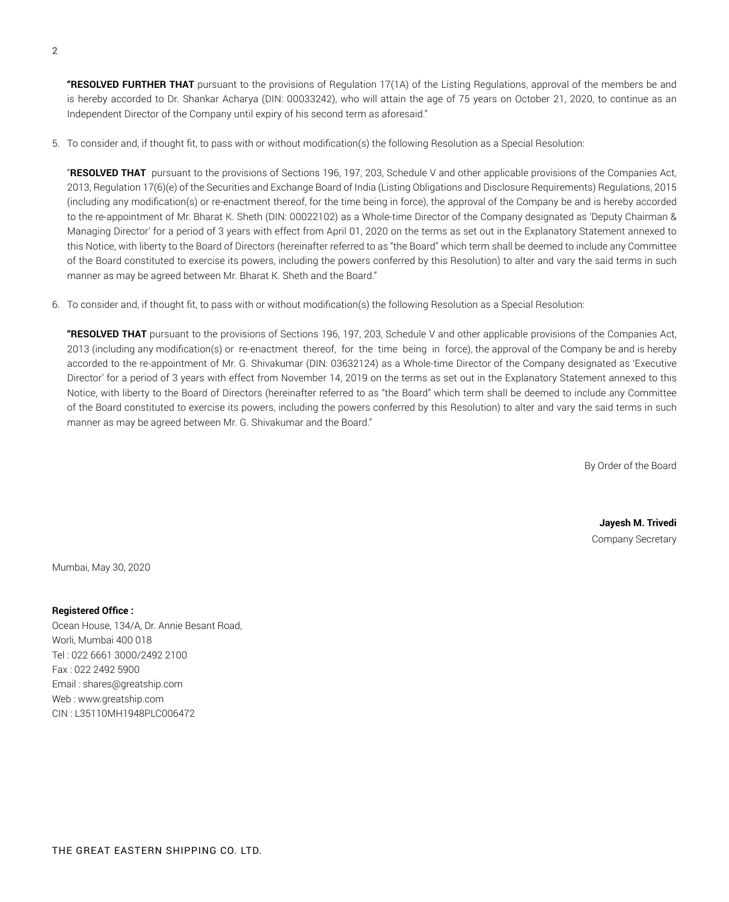**"RESOLVED FURTHER THAT** pursuant to the provisions of Regulation 17(1A) of the Listing Regulations, approval of the members be and is hereby accorded to Dr. Shankar Acharya (DIN: 00033242), who will attain the age of 75 years on October 21, 2020, to continue as an Independent Director of the Company until expiry of his second term as aforesaid."

5. To consider and, if thought fit, to pass with or without modification(s) the following Resolution as a Special Resolution:

"**RESOLVED THAT** pursuant to the provisions of Sections 196, 197, 203, Schedule V and other applicable provisions of the Companies Act, 2013, Regulation 17(6)(e) of the Securities and Exchange Board of India (Listing Obligations and Disclosure Requirements) Regulations, 2015 (including any modification(s) or re-enactment thereof, for the time being in force), the approval of the Company be and is hereby accorded to the re-appointment of Mr. Bharat K. Sheth (DIN: 00022102) as a Whole-time Director of the Company designated as 'Deputy Chairman & Managing Director' for a period of 3 years with effect from April 01, 2020 on the terms as set out in the Explanatory Statement annexed to this Notice, with liberty to the Board of Directors (hereinafter referred to as "the Board" which term shall be deemed to include any Committee of the Board constituted to exercise its powers, including the powers conferred by this Resolution) to alter and vary the said terms in such manner as may be agreed between Mr. Bharat K. Sheth and the Board."

6. To consider and, if thought fit, to pass with or without modification(s) the following Resolution as a Special Resolution:

**"RESOLVED THAT** pursuant to the provisions of Sections 196, 197, 203, Schedule V and other applicable provisions of the Companies Act, 2013 (including any modification(s) or re-enactment thereof, for the time being in force), the approval of the Company be and is hereby accorded to the re-appointment of Mr. G. Shivakumar (DIN: 03632124) as a Whole-time Director of the Company designated as 'Executive Director' for a period of 3 years with effect from November 14, 2019 on the terms as set out in the Explanatory Statement annexed to this Notice, with liberty to the Board of Directors (hereinafter referred to as "the Board" which term shall be deemed to include any Committee of the Board constituted to exercise its powers, including the powers conferred by this Resolution) to alter and vary the said terms in such manner as may be agreed between Mr. G. Shivakumar and the Board."

By Order of the Board

**Jayesh M. Trivedi** Company Secretary

Mumbai, May 30, 2020

**Registered Office :** Ocean House, 134/A, Dr. Annie Besant Road, Worli, Mumbai 400 018 Tel : 022 6661 3000/2492 2100 Fax : 022 2492 5900 Email : shares@greatship.com Web : www.greatship.com CIN : L35110MH1948PLC006472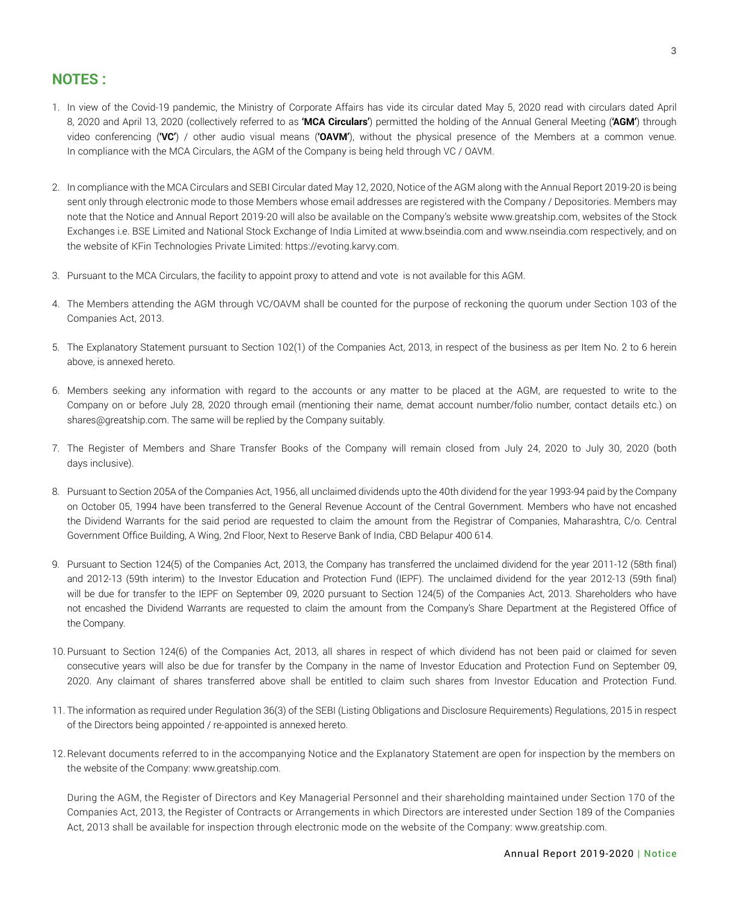# **NOTES :**

- 1. In view of the Covid-19 pandemic, the Ministry of Corporate Affairs has vide its circular dated May 5, 2020 read with circulars dated April 8, 2020 and April 13, 2020 (collectively referred to as **'MCA Circulars'**) permitted the holding of the Annual General Meeting (**'AGM'**) through video conferencing (**'VC'**) / other audio visual means (**'OAVM'**), without the physical presence of the Members at a common venue. In compliance with the MCA Circulars, the AGM of the Company is being held through VC / OAVM.
- 2. In compliance with the MCA Circulars and SEBI Circular dated May 12, 2020, Notice of the AGM along with the Annual Report 2019-20 is being sent only through electronic mode to those Members whose email addresses are registered with the Company / Depositories. Members may note that the Notice and Annual Report 2019-20 will also be available on the Company's website www.greatship.com, websites of the Stock Exchanges i.e. BSE Limited and National Stock Exchange of India Limited at www.bseindia.com and www.nseindia.com respectively, and on the website of KFin Technologies Private Limited: https://evoting.karvy.com.
- 3. Pursuant to the MCA Circulars, the facility to appoint proxy to attend and vote is not available for this AGM.
- 4. The Members attending the AGM through VC/OAVM shall be counted for the purpose of reckoning the quorum under Section 103 of the Companies Act, 2013.
- 5. The Explanatory Statement pursuant to Section 102(1) of the Companies Act, 2013, in respect of the business as per Item No. 2 to 6 herein above, is annexed hereto.
- 6. Members seeking any information with regard to the accounts or any matter to be placed at the AGM, are requested to write to the Company on or before July 28, 2020 through email (mentioning their name, demat account number/folio number, contact details etc.) on shares@greatship.com. The same will be replied by the Company suitably.
- 7. The Register of Members and Share Transfer Books of the Company will remain closed from July 24, 2020 to July 30, 2020 (both days inclusive).
- 8. Pursuant to Section 205A of the Companies Act, 1956, all unclaimed dividends upto the 40th dividend for the year 1993-94 paid by the Company on October 05, 1994 have been transferred to the General Revenue Account of the Central Government. Members who have not encashed the Dividend Warrants for the said period are requested to claim the amount from the Registrar of Companies, Maharashtra, C/o. Central Government Office Building, A Wing, 2nd Floor, Next to Reserve Bank of India, CBD Belapur 400 614.
- 9. Pursuant to Section 124(5) of the Companies Act, 2013, the Company has transferred the unclaimed dividend for the year 2011-12 (58th final) and 2012-13 (59th interim) to the Investor Education and Protection Fund (IEPF). The unclaimed dividend for the year 2012-13 (59th final) will be due for transfer to the IEPF on September 09, 2020 pursuant to Section 124(5) of the Companies Act, 2013. Shareholders who have not encashed the Dividend Warrants are requested to claim the amount from the Company's Share Department at the Registered Office of the Company.
- 10. Pursuant to Section 124(6) of the Companies Act, 2013, all shares in respect of which dividend has not been paid or claimed for seven consecutive years will also be due for transfer by the Company in the name of Investor Education and Protection Fund on September 09, 2020. Any claimant of shares transferred above shall be entitled to claim such shares from Investor Education and Protection Fund.
- 11. The information as required under Regulation 36(3) of the SEBI (Listing Obligations and Disclosure Requirements) Regulations, 2015 in respect of the Directors being appointed / re-appointed is annexed hereto.
- 12.Relevant documents referred to in the accompanying Notice and the Explanatory Statement are open for inspection by the members on the website of the Company: www.greatship.com.

During the AGM, the Register of Directors and Key Managerial Personnel and their shareholding maintained under Section 170 of the Companies Act, 2013, the Register of Contracts or Arrangements in which Directors are interested under Section 189 of the Companies Act, 2013 shall be available for inspection through electronic mode on the website of the Company: www.greatship.com.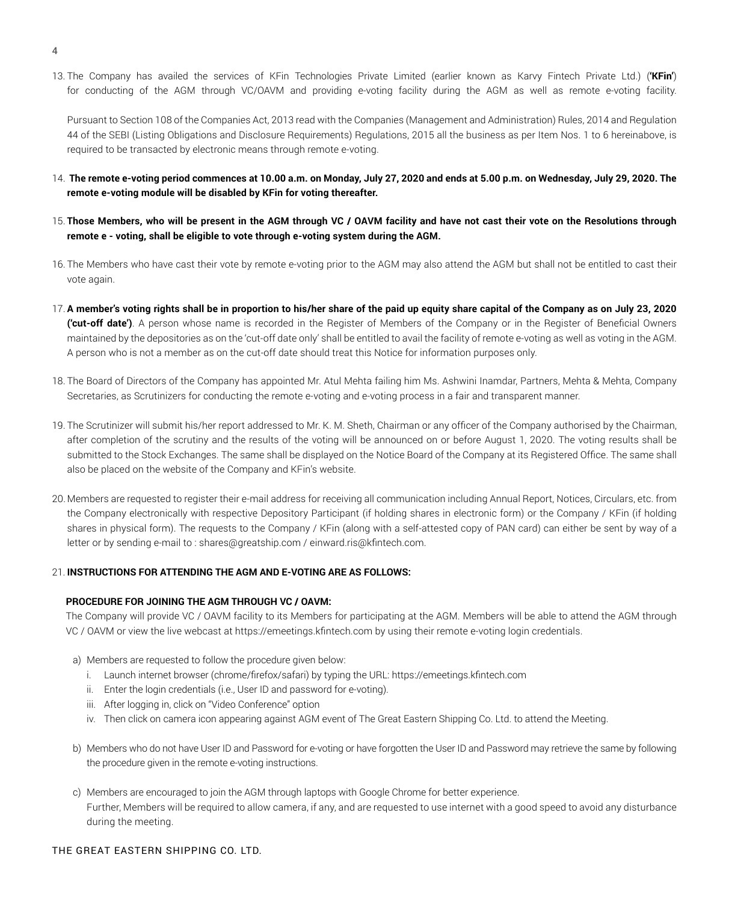13. The Company has availed the services of KFin Technologies Private Limited (earlier known as Karvy Fintech Private Ltd.) (**'KFin'**) for conducting of the AGM through VC/OAVM and providing e-voting facility during the AGM as well as remote e-voting facility.

Pursuant to Section 108 of the Companies Act, 2013 read with the Companies (Management and Administration) Rules, 2014 and Regulation 44 of the SEBI (Listing Obligations and Disclosure Requirements) Regulations, 2015 all the business as per Item Nos. 1 to 6 hereinabove, is required to be transacted by electronic means through remote e-voting.

- 14. **The remote e-voting period commences at 10.00 a.m. on Monday, July 27, 2020 and ends at 5.00 p.m. on Wednesday, July 29, 2020. The remote e-voting module will be disabled by KFin for voting thereafter.**
- 15. **Those Members, who will be present in the AGM through VC / OAVM facility and have not cast their vote on the Resolutions through remote e - voting, shall be eligible to vote through e-voting system during the AGM.**
- 16. The Members who have cast their vote by remote e-voting prior to the AGM may also attend the AGM but shall not be entitled to cast their vote again.
- 17. **A member's voting rights shall be in proportion to his/her share of the paid up equity share capital of the Company as on July 23, 2020 ('cut-off date')**. A person whose name is recorded in the Register of Members of the Company or in the Register of Beneficial Owners maintained by the depositories as on the 'cut-off date only' shall be entitled to avail the facility of remote e-voting as well as voting in the AGM. A person who is not a member as on the cut-off date should treat this Notice for information purposes only.
- 18. The Board of Directors of the Company has appointed Mr. Atul Mehta failing him Ms. Ashwini Inamdar, Partners, Mehta & Mehta, Company Secretaries, as Scrutinizers for conducting the remote e-voting and e-voting process in a fair and transparent manner.
- 19. The Scrutinizer will submit his/her report addressed to Mr. K. M. Sheth, Chairman or any officer of the Company authorised by the Chairman, after completion of the scrutiny and the results of the voting will be announced on or before August 1, 2020. The voting results shall be submitted to the Stock Exchanges. The same shall be displayed on the Notice Board of the Company at its Registered Office. The same shall also be placed on the website of the Company and KFin's website.
- 20. Members are requested to register their e-mail address for receiving all communication including Annual Report, Notices, Circulars, etc. from the Company electronically with respective Depository Participant (if holding shares in electronic form) or the Company / KFin (if holding shares in physical form). The requests to the Company / KFin (along with a self-attested copy of PAN card) can either be sent by way of a letter or by sending e-mail to : shares@greatship.com / einward.ris@kfintech.com.

### 21. **INSTRUCTIONS FOR ATTENDING THE AGM AND E-VOTING ARE AS FOLLOWS:**

#### **PROCEDURE FOR JOINING THE AGM THROUGH VC / OAVM:**

The Company will provide VC / OAVM facility to its Members for participating at the AGM. Members will be able to attend the AGM through VC / OAVM or view the live webcast at https://emeetings.kfintech.com by using their remote e-voting login credentials.

- a) Members are requested to follow the procedure given below:
	- i. Launch internet browser (chrome/firefox/safari) by typing the URL: https://emeetings.kfintech.com
	- ii. Enter the login credentials (i.e., User ID and password for e-voting).
	- iii. After logging in, click on "Video Conference" option
	- iv. Then click on camera icon appearing against AGM event of The Great Eastern Shipping Co. Ltd. to attend the Meeting.
- b) Members who do not have User ID and Password for e-voting or have forgotten the User ID and Password may retrieve the same by following the procedure given in the remote e-voting instructions.
- c) Members are encouraged to join the AGM through laptops with Google Chrome for better experience. Further, Members will be required to allow camera, if any, and are requested to use internet with a good speed to avoid any disturbance during the meeting.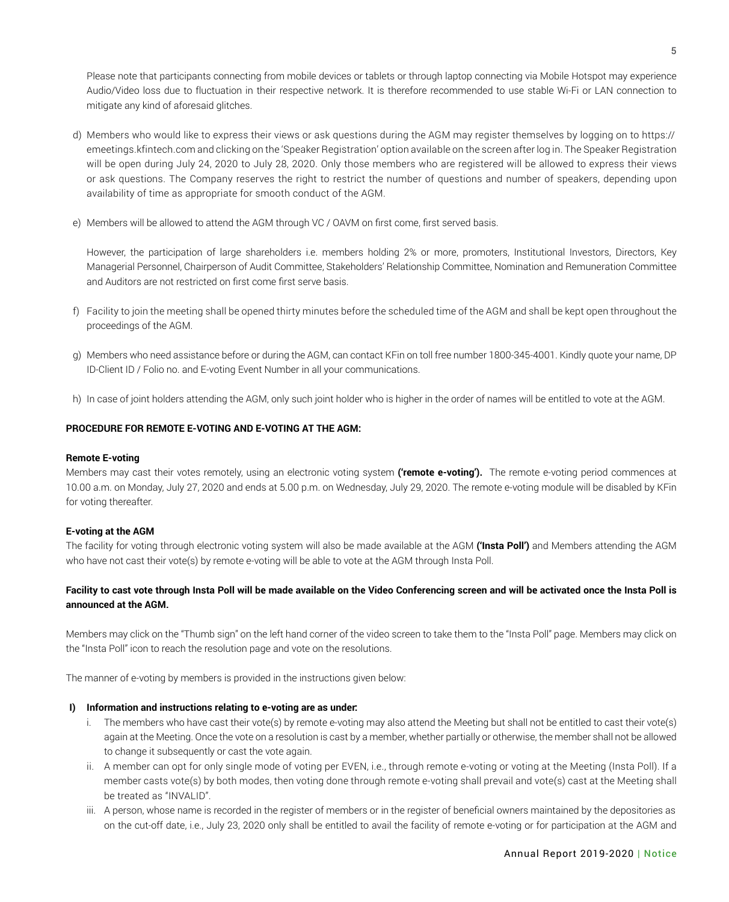Please note that participants connecting from mobile devices or tablets or through laptop connecting via Mobile Hotspot may experience Audio/Video loss due to fluctuation in their respective network. It is therefore recommended to use stable Wi-Fi or LAN connection to mitigate any kind of aforesaid glitches.

- d) Members who would like to express their views or ask questions during the AGM may register themselves by logging on to https:// emeetings.kfintech.com and clicking on the 'Speaker Registration' option available on the screen after log in. The Speaker Registration will be open during July 24, 2020 to July 28, 2020. Only those members who are registered will be allowed to express their views or ask questions. The Company reserves the right to restrict the number of questions and number of speakers, depending upon availability of time as appropriate for smooth conduct of the AGM.
- e) Members will be allowed to attend the AGM through VC / OAVM on first come, first served basis.

However, the participation of large shareholders i.e. members holding 2% or more, promoters, Institutional Investors, Directors, Key Managerial Personnel, Chairperson of Audit Committee, Stakeholders' Relationship Committee, Nomination and Remuneration Committee and Auditors are not restricted on first come first serve basis.

- f) Facility to join the meeting shall be opened thirty minutes before the scheduled time of the AGM and shall be kept open throughout the proceedings of the AGM.
- g) Members who need assistance before or during the AGM, can contact KFin on toll free number 1800-345-4001. Kindly quote your name, DP ID-Client ID / Folio no. and E-voting Event Number in all your communications.
- h) In case of joint holders attending the AGM, only such joint holder who is higher in the order of names will be entitled to vote at the AGM.

# **PROCEDURE FOR REMOTE E-VOTING AND E-VOTING AT THE AGM:**

#### **Remote E-voting**

Members may cast their votes remotely, using an electronic voting system **('remote e-voting').** The remote e-voting period commences at 10.00 a.m. on Monday, July 27, 2020 and ends at 5.00 p.m. on Wednesday, July 29, 2020. The remote e-voting module will be disabled by KFin for voting thereafter.

#### **E-voting at the AGM**

The facility for voting through electronic voting system will also be made available at the AGM **('Insta Poll')** and Members attending the AGM who have not cast their vote(s) by remote e-voting will be able to vote at the AGM through Insta Poll.

# **Facility to cast vote through Insta Poll will be made available on the Video Conferencing screen and will be activated once the Insta Poll is announced at the AGM.**

Members may click on the "Thumb sign" on the left hand corner of the video screen to take them to the "Insta Poll" page. Members may click on the "Insta Poll" icon to reach the resolution page and vote on the resolutions.

The manner of e-voting by members is provided in the instructions given below:

### **I) Information and instructions relating to e-voting are as under:**

- i. The members who have cast their vote(s) by remote e-voting may also attend the Meeting but shall not be entitled to cast their vote(s) again at the Meeting. Once the vote on a resolution is cast by a member, whether partially or otherwise, the member shall not be allowed to change it subsequently or cast the vote again.
- ii. A member can opt for only single mode of voting per EVEN, i.e., through remote e-voting or voting at the Meeting (Insta Poll). If a member casts vote(s) by both modes, then voting done through remote e-voting shall prevail and vote(s) cast at the Meeting shall be treated as "INVALID".
- iii. A person, whose name is recorded in the register of members or in the register of beneficial owners maintained by the depositories as on the cut-off date, i.e., July 23, 2020 only shall be entitled to avail the facility of remote e-voting or for participation at the AGM and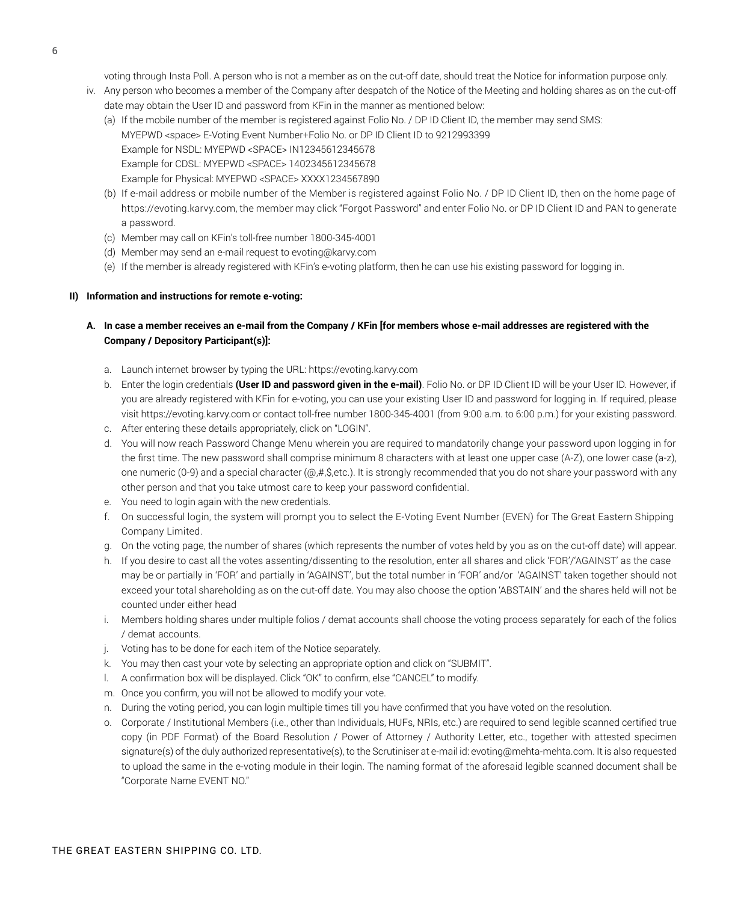voting through Insta Poll. A person who is not a member as on the cut-off date, should treat the Notice for information purpose only.

- iv. Any person who becomes a member of the Company after despatch of the Notice of the Meeting and holding shares as on the cut-off date may obtain the User ID and password from KFin in the manner as mentioned below:
	- (a) If the mobile number of the member is registered against Folio No. / DP ID Client ID, the member may send SMS: MYEPWD <space> E-Voting Event Number+Folio No. or DP ID Client ID to 9212993399 Example for NSDL: MYEPWD <SPACE> IN12345612345678 Example for CDSL: MYEPWD <SPACE> 1402345612345678 Example for Physical: MYEPWD <SPACE> XXXX1234567890
	- (b) If e-mail address or mobile number of the Member is registered against Folio No. / DP ID Client ID, then on the home page of https://evoting.karvy.com, the member may click "Forgot Password" and enter Folio No. or DP ID Client ID and PAN to generate a password.
	- (c) Member may call on KFin's toll-free number 1800-345-4001
	- (d) Member may send an e-mail request to evoting@karvy.com
	- (e) If the member is already registered with KFin's e-voting platform, then he can use his existing password for logging in.

#### **II) Information and instructions for remote e-voting:**

# **A. In case a member receives an e-mail from the Company / KFin [for members whose e-mail addresses are registered with the Company / Depository Participant(s)]:**

- a. Launch internet browser by typing the URL: https://evoting.karvy.com
- b. Enter the login credentials **(User ID and password given in the e-mail)**. Folio No. or DP ID Client ID will be your User ID. However, if you are already registered with KFin for e-voting, you can use your existing User ID and password for logging in. If required, please visit https://evoting.karvy.com or contact toll-free number 1800-345-4001 (from 9:00 a.m. to 6:00 p.m.) for your existing password.
- c. After entering these details appropriately, click on "LOGIN".
- d. You will now reach Password Change Menu wherein you are required to mandatorily change your password upon logging in for the first time. The new password shall comprise minimum 8 characters with at least one upper case (A-Z), one lower case (a-z), one numeric (0-9) and a special character  $(@, #, \$, etc.)$ . It is strongly recommended that you do not share your password with any other person and that you take utmost care to keep your password confidential.
- e. You need to login again with the new credentials.
- f. On successful login, the system will prompt you to select the E-Voting Event Number (EVEN) for The Great Eastern Shipping Company Limited.
- g. On the voting page, the number of shares (which represents the number of votes held by you as on the cut-off date) will appear.
- h. If you desire to cast all the votes assenting/dissenting to the resolution, enter all shares and click 'FOR'/'AGAINST' as the case may be or partially in 'FOR' and partially in 'AGAINST', but the total number in 'FOR' and/or 'AGAINST' taken together should not exceed your total shareholding as on the cut-off date. You may also choose the option 'ABSTAIN' and the shares held will not be counted under either head
- i. Members holding shares under multiple folios / demat accounts shall choose the voting process separately for each of the folios / demat accounts.
- j. Voting has to be done for each item of the Notice separately.
- k. You may then cast your vote by selecting an appropriate option and click on "SUBMIT".
- l. A confirmation box will be displayed. Click "OK" to confirm, else "CANCEL" to modify.
- m. Once you confirm, you will not be allowed to modify your vote.
- n. During the voting period, you can login multiple times till you have confirmed that you have voted on the resolution.
- o. Corporate / Institutional Members (i.e., other than Individuals, HUFs, NRIs, etc.) are required to send legible scanned certified true copy (in PDF Format) of the Board Resolution / Power of Attorney / Authority Letter, etc., together with attested specimen signature(s) of the duly authorized representative(s), to the Scrutiniser at e-mail id: evoting@mehta-mehta.com. It is also requested to upload the same in the e-voting module in their login. The naming format of the aforesaid legible scanned document shall be "Corporate Name EVENT NO."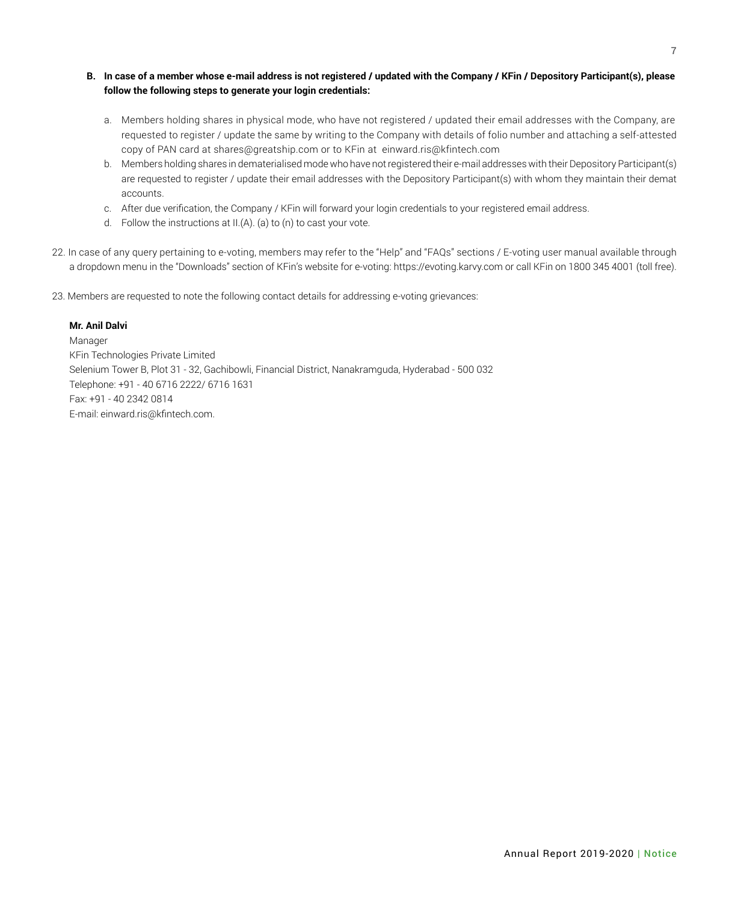- **B. In case of a member whose e-mail address is not registered / updated with the Company / KFin / Depository Participant(s), please follow the following steps to generate your login credentials:** 
	- a. Members holding shares in physical mode, who have not registered / updated their email addresses with the Company, are requested to register / update the same by writing to the Company with details of folio number and attaching a self-attested copy of PAN card at shares@greatship.com or to KFin at einward.ris@kfintech.com
	- b. Members holding shares in dematerialised mode who have not registered their e-mail addresses with their Depository Participant(s) are requested to register / update their email addresses with the Depository Participant(s) with whom they maintain their demat accounts.
	- c. After due verification, the Company / KFin will forward your login credentials to your registered email address.
	- d. Follow the instructions at II.(A). (a) to (n) to cast your vote.
- 22. In case of any query pertaining to e-voting, members may refer to the "Help" and "FAQs" sections / E-voting user manual available through a dropdown menu in the "Downloads" section of KFin's website for e-voting: https://evoting.karvy.com or call KFin on 1800 345 4001 (toll free).
- 23. Members are requested to note the following contact details for addressing e-voting grievances:

### **Mr. Anil Dalvi**

Manager KFin Technologies Private Limited Selenium Tower B, Plot 31 - 32, Gachibowli, Financial District, Nanakramguda, Hyderabad - 500 032 Telephone: +91 - 40 6716 2222/ 6716 1631 Fax: +91 - 40 2342 0814 E-mail: einward.ris@kfintech.com.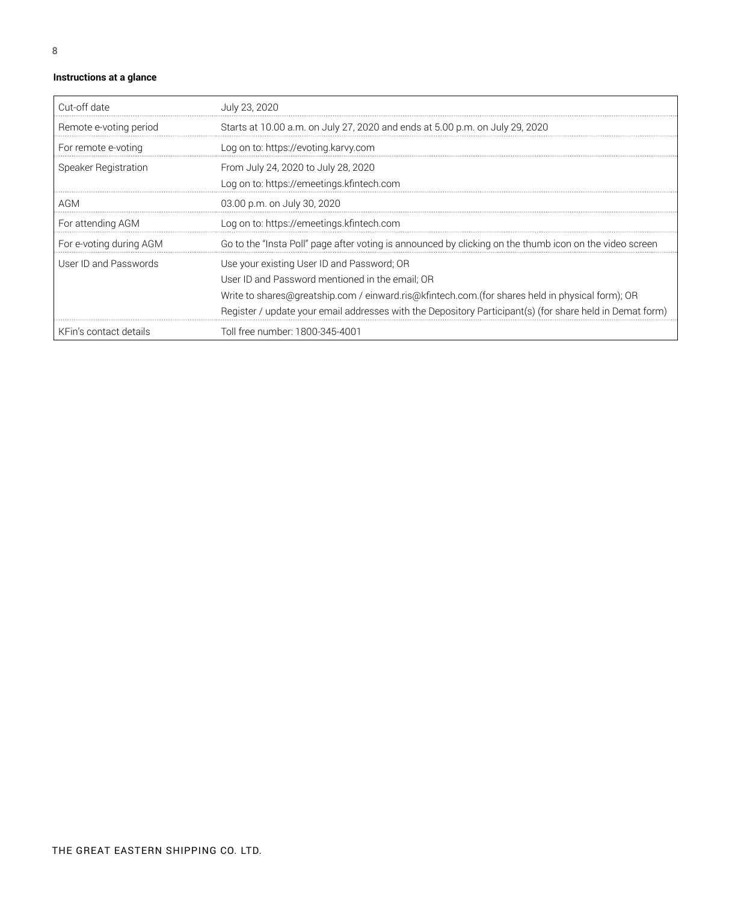# **Instructions at a glance**

| Cut-off date            | July 23, 2020                                                                                            |
|-------------------------|----------------------------------------------------------------------------------------------------------|
| Remote e-voting period  | Starts at 10.00 a.m. on July 27, 2020 and ends at 5.00 p.m. on July 29, 2020                             |
| For remote e-voting     | Log on to: https://evoting.karvy.com                                                                     |
| Speaker Registration    | From July 24, 2020 to July 28, 2020                                                                      |
|                         | Log on to: https://emeetings.kfintech.com                                                                |
| AGM                     | 03.00 p.m. on July 30, 2020                                                                              |
| For attending AGM       | Log on to: https://emeetings.kfintech.com                                                                |
| For e-voting during AGM | Go to the "Insta Poll" page after voting is announced by clicking on the thumb icon on the video screen  |
| User ID and Passwords   | Use your existing User ID and Password; OR                                                               |
|                         | User ID and Password mentioned in the email: OR                                                          |
|                         | Write to shares@greatship.com / einward.ris@kfintech.com.(for shares held in physical form); OR          |
|                         | Register / update your email addresses with the Depository Participant(s) (for share held in Demat form) |
| KFin's contact details  | Toll free number: 1800-345-4001                                                                          |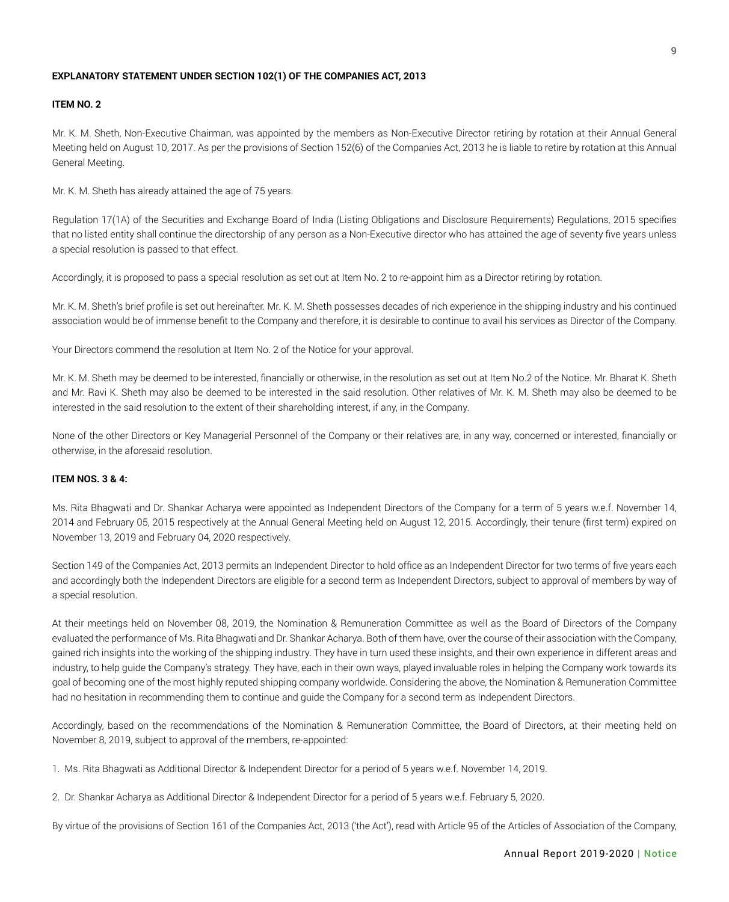#### **EXPLANATORY STATEMENT UNDER SECTION 102(1) OF THE COMPANIES ACT, 2013**

#### **ITEM NO. 2**

Mr. K. M. Sheth, Non-Executive Chairman, was appointed by the members as Non-Executive Director retiring by rotation at their Annual General Meeting held on August 10, 2017. As per the provisions of Section 152(6) of the Companies Act, 2013 he is liable to retire by rotation at this Annual General Meeting.

Mr. K. M. Sheth has already attained the age of 75 years.

Regulation 17(1A) of the Securities and Exchange Board of India (Listing Obligations and Disclosure Requirements) Regulations, 2015 specifies that no listed entity shall continue the directorship of any person as a Non-Executive director who has attained the age of seventy five years unless a special resolution is passed to that effect.

Accordingly, it is proposed to pass a special resolution as set out at Item No. 2 to re-appoint him as a Director retiring by rotation.

Mr. K. M. Sheth's brief profile is set out hereinafter. Mr. K. M. Sheth possesses decades of rich experience in the shipping industry and his continued association would be of immense benefit to the Company and therefore, it is desirable to continue to avail his services as Director of the Company.

Your Directors commend the resolution at Item No. 2 of the Notice for your approval.

Mr. K. M. Sheth may be deemed to be interested, financially or otherwise, in the resolution as set out at Item No.2 of the Notice. Mr. Bharat K. Sheth and Mr. Ravi K. Sheth may also be deemed to be interested in the said resolution. Other relatives of Mr. K. M. Sheth may also be deemed to be interested in the said resolution to the extent of their shareholding interest, if any, in the Company.

None of the other Directors or Key Managerial Personnel of the Company or their relatives are, in any way, concerned or interested, financially or otherwise, in the aforesaid resolution.

#### **ITEM NOS. 3 & 4:**

Ms. Rita Bhagwati and Dr. Shankar Acharya were appointed as Independent Directors of the Company for a term of 5 years w.e.f. November 14, 2014 and February 05, 2015 respectively at the Annual General Meeting held on August 12, 2015. Accordingly, their tenure (first term) expired on November 13, 2019 and February 04, 2020 respectively.

Section 149 of the Companies Act, 2013 permits an Independent Director to hold office as an Independent Director for two terms of five years each and accordingly both the Independent Directors are eligible for a second term as Independent Directors, subject to approval of members by way of a special resolution.

At their meetings held on November 08, 2019, the Nomination & Remuneration Committee as well as the Board of Directors of the Company evaluated the performance of Ms. Rita Bhagwati and Dr. Shankar Acharya. Both of them have, over the course of their association with the Company, gained rich insights into the working of the shipping industry. They have in turn used these insights, and their own experience in different areas and industry, to help guide the Company's strategy. They have, each in their own ways, played invaluable roles in helping the Company work towards its goal of becoming one of the most highly reputed shipping company worldwide. Considering the above, the Nomination & Remuneration Committee had no hesitation in recommending them to continue and guide the Company for a second term as Independent Directors.

Accordingly, based on the recommendations of the Nomination & Remuneration Committee, the Board of Directors, at their meeting held on November 8, 2019, subject to approval of the members, re-appointed:

- 1. Ms. Rita Bhagwati as Additional Director & Independent Director for a period of 5 years w.e.f. November 14, 2019.
- 2. Dr. Shankar Acharya as Additional Director & Independent Director for a period of 5 years w.e.f. February 5, 2020.

By virtue of the provisions of Section 161 of the Companies Act, 2013 ('the Act'), read with Article 95 of the Articles of Association of the Company,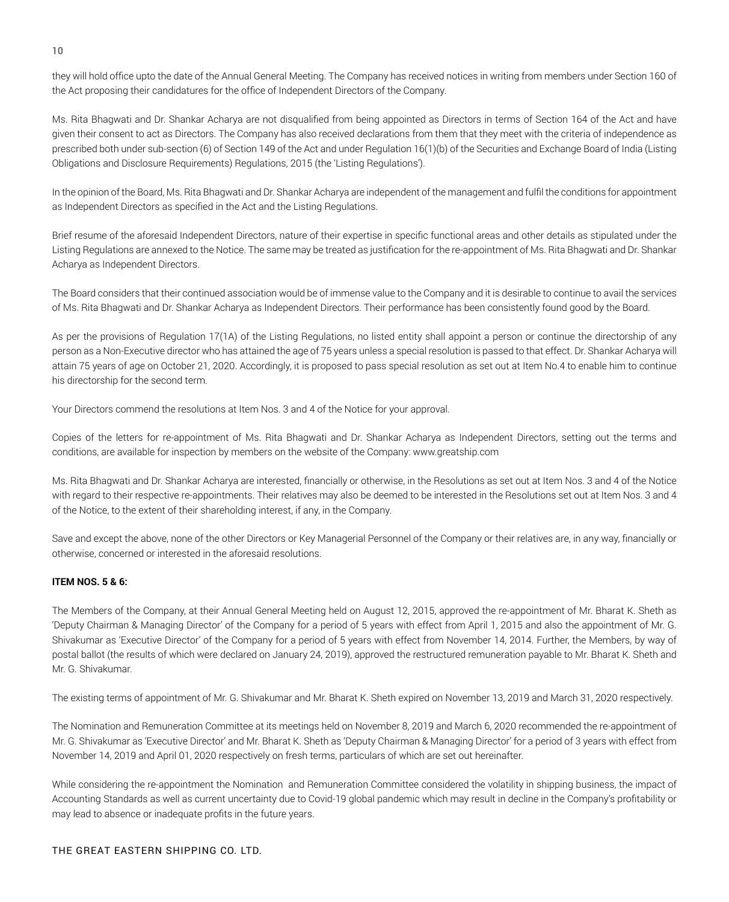they will hold office upto the date of the Annual General Meeting. The Company has received notices in writing from members under Section 160 of the Act proposing their candidatures for the office of Independent Directors of the Company.

Ms. Rita Bhagwati and Dr. Shankar Acharya are not disqualified from being appointed as Directors in terms of Section 164 of the Act and have given their consent to act as Directors. The Company has also received declarations from them that they meet with the criteria of independence as prescribed both under sub-section (6) of Section 149 of the Act and under Regulation 16(1)(b) of the Securities and Exchange Board of India (Listing Obligations and Disclosure Requirements) Regulations, 2015 (the 'Listing Regulations').

In the opinion of the Board, Ms. Rita Bhagwati and Dr. Shankar Acharya are independent of the management and fulfil the conditions for appointment as Independent Directors as specified in the Act and the Listing Regulations.

Brief resume of the aforesaid Independent Directors, nature of their expertise in specific functional areas and other details as stipulated under the Listing Regulations are annexed to the Notice. The same may be treated as justification for the re-appointment of Ms. Rita Bhagwati and Dr. Shankar Acharya as Independent Directors.

The Board considers that their continued association would be of immense value to the Company and it is desirable to continue to avail the services of Ms. Rita Bhagwati and Dr. Shankar Acharya as Independent Directors. Their performance has been consistently found good by the Board.

As per the provisions of Regulation 17(1A) of the Listing Regulations, no listed entity shall appoint a person or continue the directorship of any person as a Non-Executive director who has attained the age of 75 years unless a special resolution is passed to that effect. Dr. Shankar Acharya will attain 75 years of age on October 21, 2020. Accordingly, it is proposed to pass special resolution as set out at Item No.4 to enable him to continue his directorship for the second term.

Your Directors commend the resolutions at Item Nos. 3 and 4 of the Notice for your approval.

Copies of the letters for re-appointment of Ms. Rita Bhagwati and Dr. Shankar Acharya as Independent Directors, setting out the terms and conditions, are available for inspection by members on the website of the Company: www.greatship.com

Ms. Rita Bhagwati and Dr. Shankar Acharya are interested, financially or otherwise, in the Resolutions as set out at Item Nos. 3 and 4 of the Notice with regard to their respective re-appointments. Their relatives may also be deemed to be interested in the Resolutions set out at Item Nos. 3 and 4 of the Notice, to the extent of their shareholding interest, if any, in the Company.

Save and except the above, none of the other Directors or Key Managerial Personnel of the Company or their relatives are, in any way, financially or otherwise, concerned or interested in the aforesaid resolutions.

# **ITEM NOS. 5 & 6:**

The Members of the Company, at their Annual General Meeting held on August 12, 2015, approved the re-appointment of Mr. Bharat K. Sheth as 'Deputy Chairman & Managing Director' of the Company for a period of 5 years with effect from April 1, 2015 and also the appointment of Mr. G. Shivakumar as 'Executive Director' of the Company for a period of 5 years with effect from November 14, 2014. Further, the Members, by way of postal ballot (the results of which were declared on January 24, 2019), approved the restructured remuneration payable to Mr. Bharat K. Sheth and Mr. G. Shivakumar.

The existing terms of appointment of Mr. G. Shivakumar and Mr. Bharat K. Sheth expired on November 13, 2019 and March 31, 2020 respectively.

The Nomination and Remuneration Committee at its meetings held on November 8, 2019 and March 6, 2020 recommended the re-appointment of Mr. G. Shivakumar as 'Executive Director' and Mr. Bharat K. Sheth as 'Deputy Chairman & Managing Director' for a period of 3 years with effect from November 14, 2019 and April 01, 2020 respectively on fresh terms, particulars of which are set out hereinafter.

While considering the re-appointment the Nomination and Remuneration Committee considered the volatility in shipping business, the impact of Accounting Standards as well as current uncertainty due to Covid-19 global pandemic which may result in decline in the Company's profitability or may lead to absence or inadequate profits in the future years.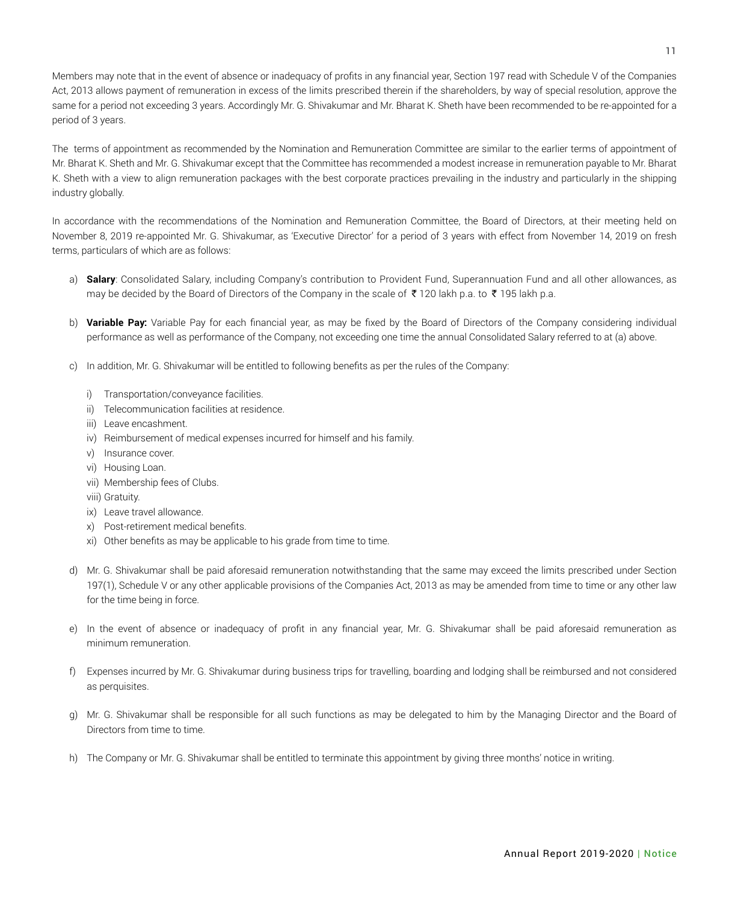Members may note that in the event of absence or inadequacy of profits in any financial year, Section 197 read with Schedule V of the Companies Act, 2013 allows payment of remuneration in excess of the limits prescribed therein if the shareholders, by way of special resolution, approve the same for a period not exceeding 3 years. Accordingly Mr. G. Shivakumar and Mr. Bharat K. Sheth have been recommended to be re-appointed for a period of 3 years.

The terms of appointment as recommended by the Nomination and Remuneration Committee are similar to the earlier terms of appointment of Mr. Bharat K. Sheth and Mr. G. Shivakumar except that the Committee has recommended a modest increase in remuneration payable to Mr. Bharat K. Sheth with a view to align remuneration packages with the best corporate practices prevailing in the industry and particularly in the shipping industry globally.

In accordance with the recommendations of the Nomination and Remuneration Committee, the Board of Directors, at their meeting held on November 8, 2019 re-appointed Mr. G. Shivakumar, as 'Executive Director' for a period of 3 years with effect from November 14, 2019 on fresh terms, particulars of which are as follows:

- a) **Salary**: Consolidated Salary, including Company's contribution to Provident Fund, Superannuation Fund and all other allowances, as may be decided by the Board of Directors of the Company in the scale of  $\bar{\tau}$  120 lakh p.a. to  $\bar{\tau}$  195 lakh p.a.
- b) **Variable Pay:** Variable Pay for each financial year, as may be fixed by the Board of Directors of the Company considering individual performance as well as performance of the Company, not exceeding one time the annual Consolidated Salary referred to at (a) above.
- c) In addition, Mr. G. Shivakumar will be entitled to following benefits as per the rules of the Company:
	- i) Transportation/conveyance facilities.
	- ii) Telecommunication facilities at residence.
	- iii) Leave encashment.
	- iv) Reimbursement of medical expenses incurred for himself and his family.
	- v) Insurance cover.
	- vi) Housing Loan.
	- vii) Membership fees of Clubs.
	- viii) Gratuity.
	- ix) Leave travel allowance.
	- x) Post-retirement medical benefits.
	- xi) Other benefits as may be applicable to his grade from time to time.
- d) Mr. G. Shivakumar shall be paid aforesaid remuneration notwithstanding that the same may exceed the limits prescribed under Section 197(1), Schedule V or any other applicable provisions of the Companies Act, 2013 as may be amended from time to time or any other law for the time being in force.
- e) In the event of absence or inadequacy of profit in any financial year, Mr. G. Shivakumar shall be paid aforesaid remuneration as minimum remuneration.
- f) Expenses incurred by Mr. G. Shivakumar during business trips for travelling, boarding and lodging shall be reimbursed and not considered as perquisites.
- g) Mr. G. Shivakumar shall be responsible for all such functions as may be delegated to him by the Managing Director and the Board of Directors from time to time.
- h) The Company or Mr. G. Shivakumar shall be entitled to terminate this appointment by giving three months' notice in writing.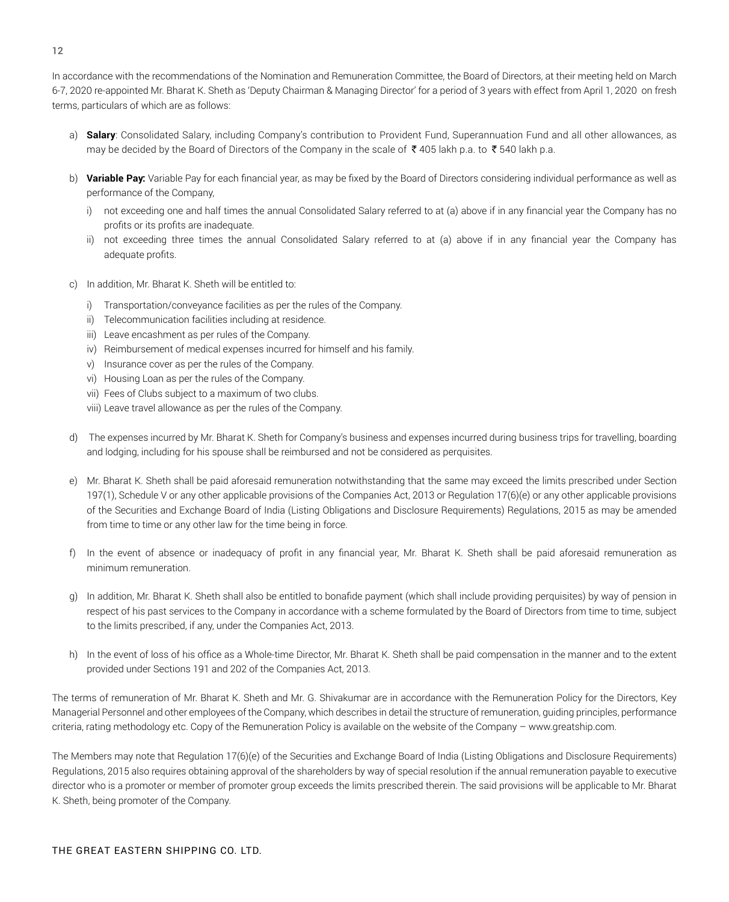In accordance with the recommendations of the Nomination and Remuneration Committee, the Board of Directors, at their meeting held on March 6-7, 2020 re-appointed Mr. Bharat K. Sheth as 'Deputy Chairman & Managing Director' for a period of 3 years with effect from April 1, 2020 on fresh terms, particulars of which are as follows:

- a) **Salary**: Consolidated Salary, including Company's contribution to Provident Fund, Superannuation Fund and all other allowances, as may be decided by the Board of Directors of the Company in the scale of ₹405 lakh p.a. to ₹540 lakh p.a.
- b) **Variable Pay:** Variable Pay for each financial year, as may be fixed by the Board of Directors considering individual performance as well as performance of the Company,
	- i) not exceeding one and half times the annual Consolidated Salary referred to at (a) above if in any financial year the Company has no profits or its profits are inadequate.
	- ii) not exceeding three times the annual Consolidated Salary referred to at (a) above if in any financial year the Company has adequate profits.
- c) In addition, Mr. Bharat K. Sheth will be entitled to:
	- i) Transportation/conveyance facilities as per the rules of the Company.
	- ii) Telecommunication facilities including at residence.
	- iii) Leave encashment as per rules of the Company.
	- iv) Reimbursement of medical expenses incurred for himself and his family.
	- v) Insurance cover as per the rules of the Company.
	- vi) Housing Loan as per the rules of the Company.
	- vii) Fees of Clubs subject to a maximum of two clubs.
	- viii) Leave travel allowance as per the rules of the Company.
- d) The expenses incurred by Mr. Bharat K. Sheth for Company's business and expenses incurred during business trips for travelling, boarding and lodging, including for his spouse shall be reimbursed and not be considered as perquisites.
- e) Mr. Bharat K. Sheth shall be paid aforesaid remuneration notwithstanding that the same may exceed the limits prescribed under Section 197(1), Schedule V or any other applicable provisions of the Companies Act, 2013 or Regulation 17(6)(e) or any other applicable provisions of the Securities and Exchange Board of India (Listing Obligations and Disclosure Requirements) Regulations, 2015 as may be amended from time to time or any other law for the time being in force.
- f) In the event of absence or inadequacy of profit in any financial year, Mr. Bharat K. Sheth shall be paid aforesaid remuneration as minimum remuneration.
- g) In addition, Mr. Bharat K. Sheth shall also be entitled to bonafide payment (which shall include providing perquisites) by way of pension in respect of his past services to the Company in accordance with a scheme formulated by the Board of Directors from time to time, subject to the limits prescribed, if any, under the Companies Act, 2013.
- h) In the event of loss of his office as a Whole-time Director, Mr. Bharat K. Sheth shall be paid compensation in the manner and to the extent provided under Sections 191 and 202 of the Companies Act, 2013.

The terms of remuneration of Mr. Bharat K. Sheth and Mr. G. Shivakumar are in accordance with the Remuneration Policy for the Directors, Key Managerial Personnel and other employees of the Company, which describes in detail the structure of remuneration, guiding principles, performance criteria, rating methodology etc. Copy of the Remuneration Policy is available on the website of the Company – www.greatship.com.

The Members may note that Regulation 17(6)(e) of the Securities and Exchange Board of India (Listing Obligations and Disclosure Requirements) Regulations, 2015 also requires obtaining approval of the shareholders by way of special resolution if the annual remuneration payable to executive director who is a promoter or member of promoter group exceeds the limits prescribed therein. The said provisions will be applicable to Mr. Bharat K. Sheth, being promoter of the Company.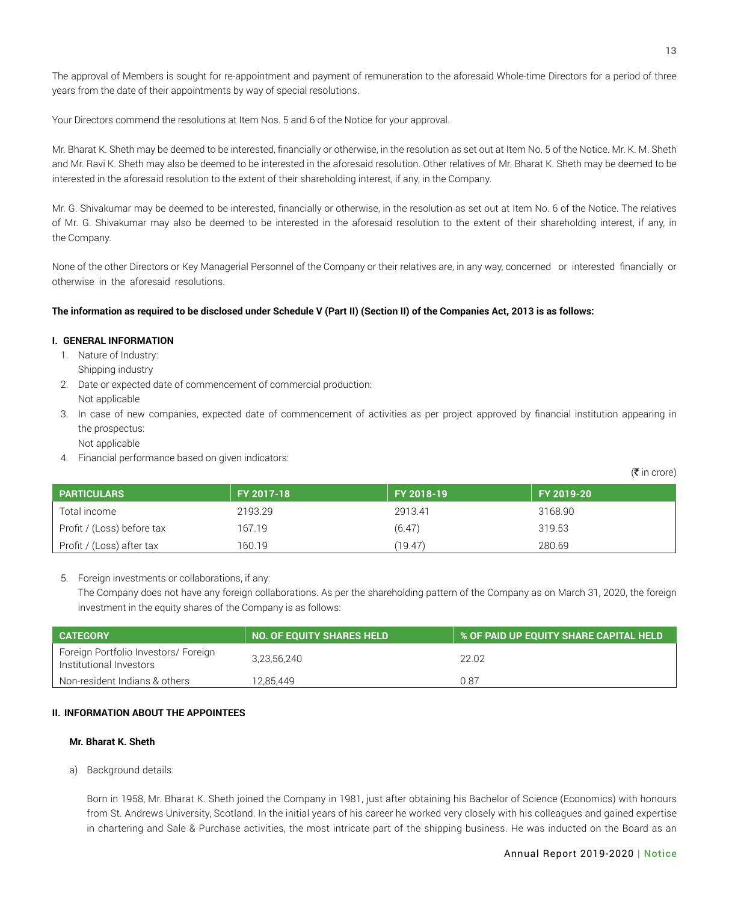Your Directors commend the resolutions at Item Nos. 5 and 6 of the Notice for your approval.

Mr. Bharat K. Sheth may be deemed to be interested, financially or otherwise, in the resolution as set out at Item No. 5 of the Notice. Mr. K. M. Sheth and Mr. Ravi K. Sheth may also be deemed to be interested in the aforesaid resolution. Other relatives of Mr. Bharat K. Sheth may be deemed to be interested in the aforesaid resolution to the extent of their shareholding interest, if any, in the Company.

Mr. G. Shivakumar may be deemed to be interested, financially or otherwise, in the resolution as set out at Item No. 6 of the Notice. The relatives of Mr. G. Shivakumar may also be deemed to be interested in the aforesaid resolution to the extent of their shareholding interest, if any, in the Company.

None of the other Directors or Key Managerial Personnel of the Company or their relatives are, in any way, concerned or interested financially or otherwise in the aforesaid resolutions.

# **The information as required to be disclosed under Schedule V (Part II) (Section II) of the Companies Act, 2013 is as follows:**

# **I. GENERAL INFORMATION**

- 1. Nature of Industry: Shipping industry
- 2. Date or expected date of commencement of commercial production: Not applicable
- 3. In case of new companies, expected date of commencement of activities as per project approved by financial institution appearing in the prospectus:
	- Not applicable
- 4. Financial performance based on given indicators:

 $(5$  in crore)

| <b>PARTICULARS</b>         | FY 2017-18 | FY 2018-19 | FY 2019-20 |
|----------------------------|------------|------------|------------|
| Total income               | 2193.29    | 2913.41    | 3168.90    |
| Profit / (Loss) before tax | 167.19     | (6.47)     | 319.53     |
| Profit / (Loss) after tax  | 160.19     | (19.47)    | 280.69     |

# 5. Foreign investments or collaborations, if any:

The Company does not have any foreign collaborations. As per the shareholding pattern of the Company as on March 31, 2020, the foreign investment in the equity shares of the Company is as follows:

| <b>CATEGORY</b>                                                 | NO. OF EQUITY SHARES HELD | I % OF PAID UP EQUITY SHARE CAPITAL HELD ! |
|-----------------------------------------------------------------|---------------------------|--------------------------------------------|
| Foreign Portfolio Investors/ Foreign<br>Institutional Investors | 3,23,56,240               | 22.02                                      |
| Non-resident Indians & others                                   | 12.85.449                 | 0.87                                       |

# **II. INFORMATION ABOUT THE APPOINTEES**

# **Mr. Bharat K. Sheth**

a) Background details:

Born in 1958, Mr. Bharat K. Sheth joined the Company in 1981, just after obtaining his Bachelor of Science (Economics) with honours from St. Andrews University, Scotland. In the initial years of his career he worked very closely with his colleagues and gained expertise in chartering and Sale & Purchase activities, the most intricate part of the shipping business. He was inducted on the Board as an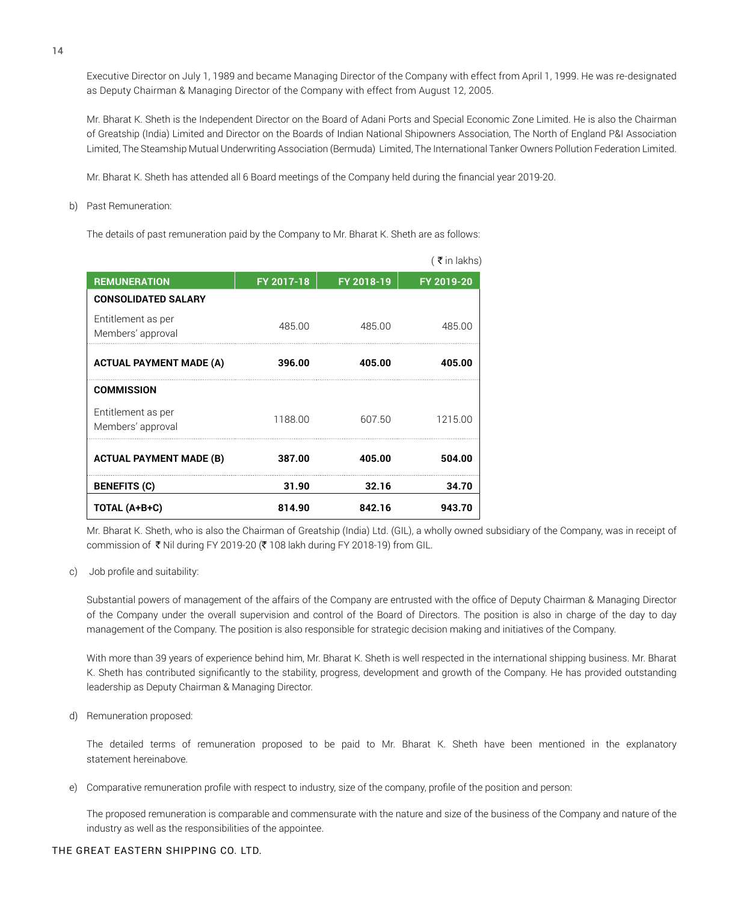Executive Director on July 1, 1989 and became Managing Director of the Company with effect from April 1, 1999. He was re-designated as Deputy Chairman & Managing Director of the Company with effect from August 12, 2005.

Mr. Bharat K. Sheth is the Independent Director on the Board of Adani Ports and Special Economic Zone Limited. He is also the Chairman of Greatship (India) Limited and Director on the Boards of Indian National Shipowners Association, The North of England P&I Association Limited, The Steamship Mutual Underwriting Association (Bermuda) Limited, The International Tanker Owners Pollution Federation Limited.

Mr. Bharat K. Sheth has attended all 6 Board meetings of the Company held during the financial year 2019-20.

b) Past Remuneration:

The details of past remuneration paid by the Company to Mr. Bharat K. Sheth are as follows:

|                                         |            |            | (₹in lakhs) |
|-----------------------------------------|------------|------------|-------------|
| <b>REMUNERATION</b>                     | FY 2017-18 | FY 2018-19 | FY 2019-20  |
| <b>CONSOLIDATED SALARY</b>              |            |            |             |
| Entitlement as per<br>Members' approval | 485.00     | 485.00     | 485.00      |
| <b>ACTUAL PAYMENT MADE (A)</b>          | 396.00     | 405.00     | 405.00      |
| <b>COMMISSION</b>                       |            |            |             |
| Entitlement as per<br>Members' approval | 1188.00    | 607.50     | 1215.00     |
| <b>ACTUAL PAYMENT MADE (B)</b>          | 387.00     | 405.00     | 504.00      |
| <b>BENEFITS (C)</b>                     | 31.90      | 32.16      | 34.70       |
| TOTAL (A+B+C)                           | 814.90     | 842.16     | 943.70      |

Mr. Bharat K. Sheth, who is also the Chairman of Greatship (India) Ltd. (GIL), a wholly owned subsidiary of the Company, was in receipt of commission of  $\bar{\bar{\tau}}$  Nil during FY 2019-20 ( $\bar{\bar{\tau}}$  108 lakh during FY 2018-19) from GIL.

#### c) Job profile and suitability:

Substantial powers of management of the affairs of the Company are entrusted with the office of Deputy Chairman & Managing Director of the Company under the overall supervision and control of the Board of Directors. The position is also in charge of the day to day management of the Company. The position is also responsible for strategic decision making and initiatives of the Company.

With more than 39 years of experience behind him, Mr. Bharat K. Sheth is well respected in the international shipping business. Mr. Bharat K. Sheth has contributed significantly to the stability, progress, development and growth of the Company. He has provided outstanding leadership as Deputy Chairman & Managing Director.

d) Remuneration proposed:

The detailed terms of remuneration proposed to be paid to Mr. Bharat K. Sheth have been mentioned in the explanatory statement hereinabove.

e) Comparative remuneration profile with respect to industry, size of the company, profile of the position and person:

The proposed remuneration is comparable and commensurate with the nature and size of the business of the Company and nature of the industry as well as the responsibilities of the appointee.

#### THE GREAT EASTERN SHIPPING CO. LTD.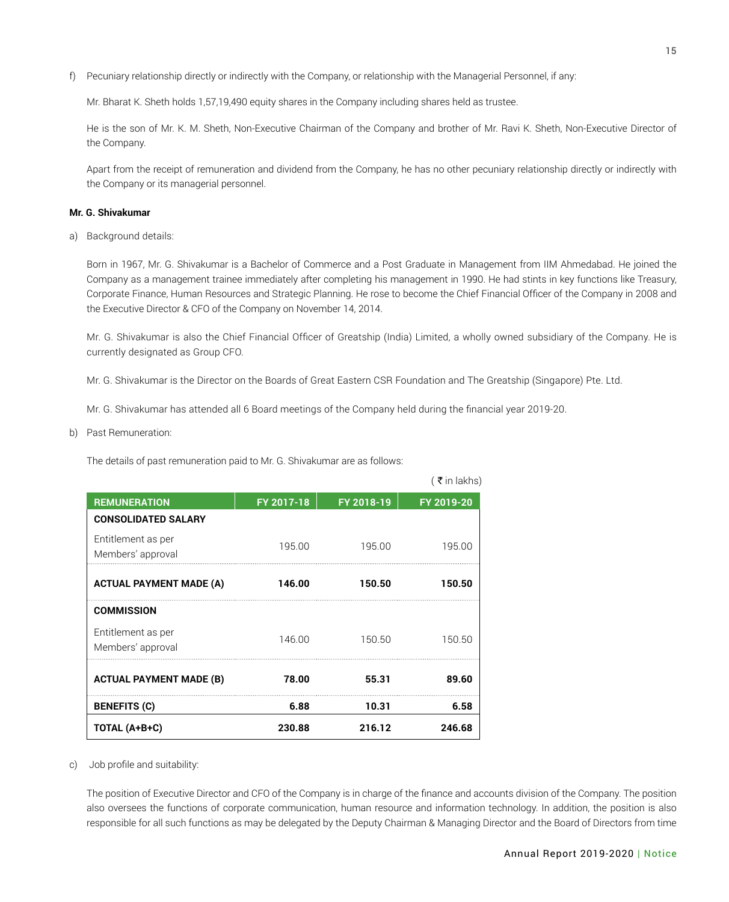f) Pecuniary relationship directly or indirectly with the Company, or relationship with the Managerial Personnel, if any:

Mr. Bharat K. Sheth holds 1,57,19,490 equity shares in the Company including shares held as trustee.

He is the son of Mr. K. M. Sheth, Non-Executive Chairman of the Company and brother of Mr. Ravi K. Sheth, Non-Executive Director of the Company.

Apart from the receipt of remuneration and dividend from the Company, he has no other pecuniary relationship directly or indirectly with the Company or its managerial personnel.

#### **Mr. G. Shivakumar**

a) Background details:

Born in 1967, Mr. G. Shivakumar is a Bachelor of Commerce and a Post Graduate in Management from IIM Ahmedabad. He joined the Company as a management trainee immediately after completing his management in 1990. He had stints in key functions like Treasury, Corporate Finance, Human Resources and Strategic Planning. He rose to become the Chief Financial Officer of the Company in 2008 and the Executive Director & CFO of the Company on November 14, 2014.

Mr. G. Shivakumar is also the Chief Financial Officer of Greatship (India) Limited, a wholly owned subsidiary of the Company. He is currently designated as Group CFO.

Mr. G. Shivakumar is the Director on the Boards of Great Eastern CSR Foundation and The Greatship (Singapore) Pte. Ltd.

Mr. G. Shivakumar has attended all 6 Board meetings of the Company held during the financial year 2019-20.

b) Past Remuneration:

The details of past remuneration paid to Mr. G. Shivakumar are as follows:

| <b>ACTUAL PAYMENT MADE (A)</b>          | 146.00 | 150.50 | 150.50 |
|-----------------------------------------|--------|--------|--------|
| <b>COMMISSION</b>                       |        |        |        |
| Entitlement as per<br>Members' approval | 146.00 | 150.50 | 150.50 |
| <b>ACTUAL PAYMENT MADE (B)</b>          | 78.00  | 55.31  | 89.60  |
|                                         |        |        | 6.58   |
| <b>BENEFITS (C)</b>                     | 6.88   | 10.31  |        |

c) Job profile and suitability:

The position of Executive Director and CFO of the Company is in charge of the finance and accounts division of the Company. The position also oversees the functions of corporate communication, human resource and information technology. In addition, the position is also responsible for all such functions as may be delegated by the Deputy Chairman & Managing Director and the Board of Directors from time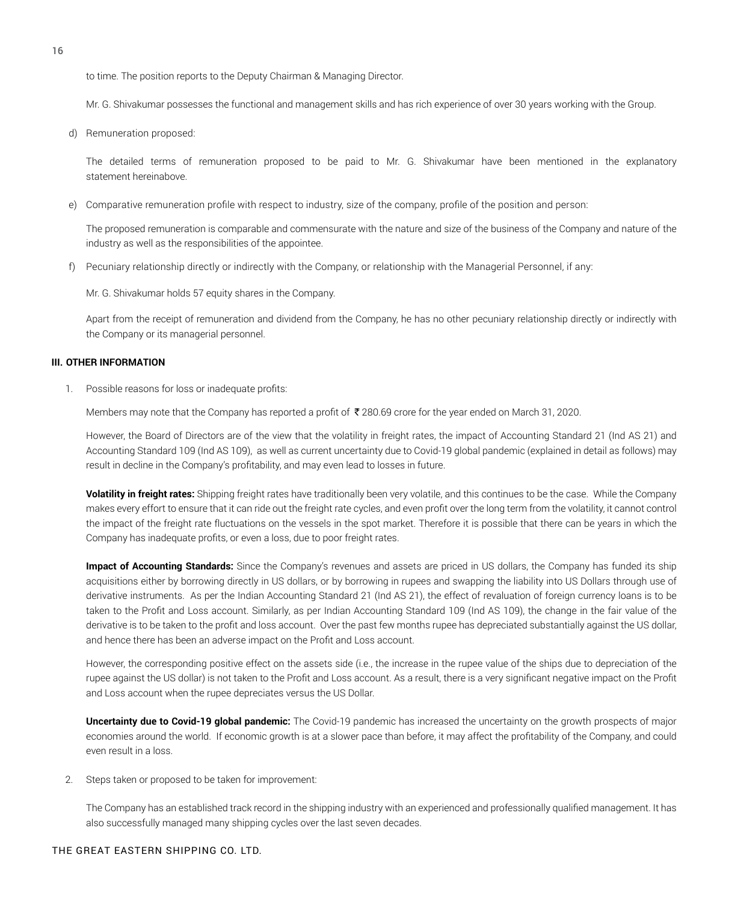to time. The position reports to the Deputy Chairman & Managing Director.

Mr. G. Shivakumar possesses the functional and management skills and has rich experience of over 30 years working with the Group.

d) Remuneration proposed:

The detailed terms of remuneration proposed to be paid to Mr. G. Shivakumar have been mentioned in the explanatory statement hereinabove.

e) Comparative remuneration profile with respect to industry, size of the company, profile of the position and person:

The proposed remuneration is comparable and commensurate with the nature and size of the business of the Company and nature of the industry as well as the responsibilities of the appointee.

f) Pecuniary relationship directly or indirectly with the Company, or relationship with the Managerial Personnel, if any:

Mr. G. Shivakumar holds 57 equity shares in the Company.

Apart from the receipt of remuneration and dividend from the Company, he has no other pecuniary relationship directly or indirectly with the Company or its managerial personnel.

#### **III. OTHER INFORMATION**

1. Possible reasons for loss or inadequate profits:

Members may note that the Company has reported a profit of  $\bar{\bar{\xi}}$  280.69 crore for the year ended on March 31, 2020.

However, the Board of Directors are of the view that the volatility in freight rates, the impact of Accounting Standard 21 (Ind AS 21) and Accounting Standard 109 (Ind AS 109), as well as current uncertainty due to Covid-19 global pandemic (explained in detail as follows) may result in decline in the Company's profitability, and may even lead to losses in future.

**Volatility in freight rates:** Shipping freight rates have traditionally been very volatile, and this continues to be the case. While the Company makes every effort to ensure that it can ride out the freight rate cycles, and even profit over the long term from the volatility, it cannot control the impact of the freight rate fluctuations on the vessels in the spot market. Therefore it is possible that there can be years in which the Company has inadequate profits, or even a loss, due to poor freight rates.

**Impact of Accounting Standards:** Since the Company's revenues and assets are priced in US dollars, the Company has funded its ship acquisitions either by borrowing directly in US dollars, or by borrowing in rupees and swapping the liability into US Dollars through use of derivative instruments. As per the Indian Accounting Standard 21 (Ind AS 21), the effect of revaluation of foreign currency loans is to be taken to the Profit and Loss account. Similarly, as per Indian Accounting Standard 109 (Ind AS 109), the change in the fair value of the derivative is to be taken to the profit and loss account. Over the past few months rupee has depreciated substantially against the US dollar, and hence there has been an adverse impact on the Profit and Loss account.

However, the corresponding positive effect on the assets side (i.e., the increase in the rupee value of the ships due to depreciation of the rupee against the US dollar) is not taken to the Profit and Loss account. As a result, there is a very significant negative impact on the Profit and Loss account when the rupee depreciates versus the US Dollar.

**Uncertainty due to Covid-19 global pandemic:** The Covid-19 pandemic has increased the uncertainty on the growth prospects of major economies around the world. If economic growth is at a slower pace than before, it may affect the profitability of the Company, and could even result in a loss.

2. Steps taken or proposed to be taken for improvement:

The Company has an established track record in the shipping industry with an experienced and professionally qualified management. It has also successfully managed many shipping cycles over the last seven decades.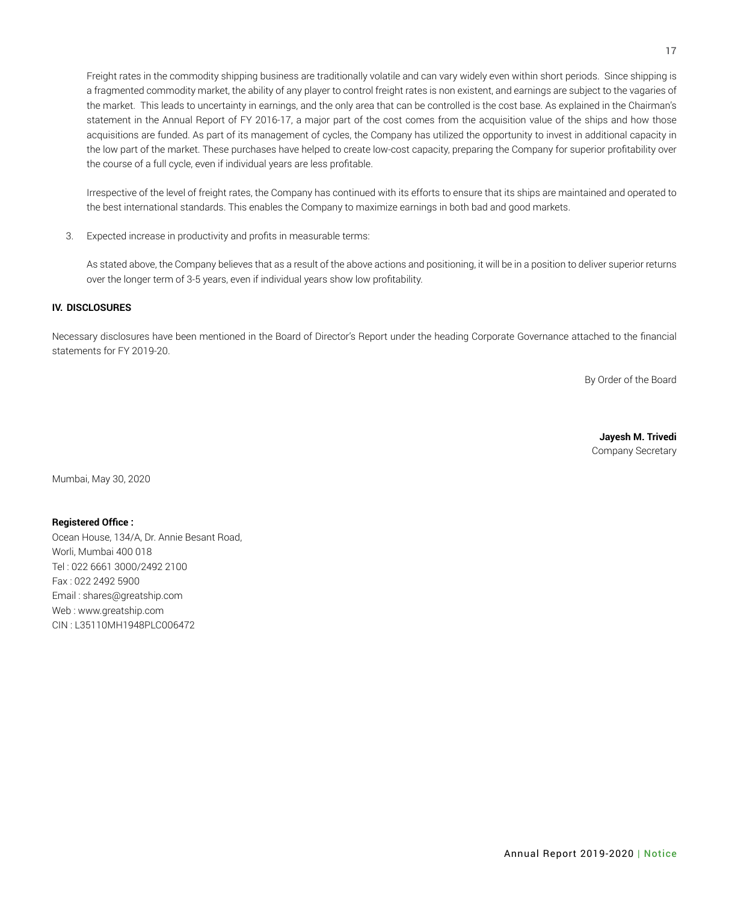Freight rates in the commodity shipping business are traditionally volatile and can vary widely even within short periods. Since shipping is a fragmented commodity market, the ability of any player to control freight rates is non existent, and earnings are subject to the vagaries of the market. This leads to uncertainty in earnings, and the only area that can be controlled is the cost base. As explained in the Chairman's statement in the Annual Report of FY 2016-17, a major part of the cost comes from the acquisition value of the ships and how those acquisitions are funded. As part of its management of cycles, the Company has utilized the opportunity to invest in additional capacity in the low part of the market. These purchases have helped to create low-cost capacity, preparing the Company for superior profitability over the course of a full cycle, even if individual years are less profitable.

Irrespective of the level of freight rates, the Company has continued with its efforts to ensure that its ships are maintained and operated to the best international standards. This enables the Company to maximize earnings in both bad and good markets.

3. Expected increase in productivity and profits in measurable terms:

As stated above, the Company believes that as a result of the above actions and positioning, it will be in a position to deliver superior returns over the longer term of 3-5 years, even if individual years show low profitability.

#### **IV. DISCLOSURES**

Necessary disclosures have been mentioned in the Board of Director's Report under the heading Corporate Governance attached to the financial statements for FY 2019-20.

By Order of the Board

**Jayesh M. Trivedi** Company Secretary

Mumbai, May 30, 2020

#### **Registered Office :**

Ocean House, 134/A, Dr. Annie Besant Road, Worli, Mumbai 400 018 Tel : 022 6661 3000/2492 2100 Fax : 022 2492 5900 Email : shares@greatship.com Web : www.greatship.com CIN : L35110MH1948PLC006472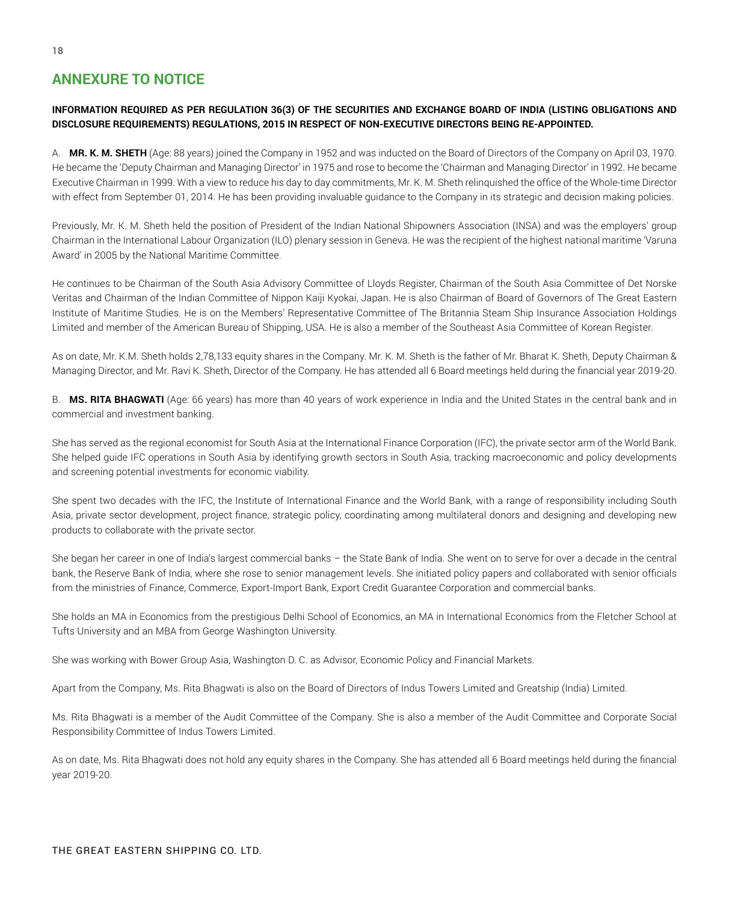# **ANNEXURE TO NOTICE**

# **INFORMATION REQUIRED AS PER REGULATION 36(3) OF THE SECURITIES AND EXCHANGE BOARD OF INDIA (LISTING OBLIGATIONS AND DISCLOSURE REQUIREMENTS) REGULATIONS, 2015 IN RESPECT OF NON-EXECUTIVE DIRECTORS BEING RE-APPOINTED.**

A. **MR. K. M. SHETH** (Age: 88 years) joined the Company in 1952 and was inducted on the Board of Directors of the Company on April 03, 1970. He became the 'Deputy Chairman and Managing Director' in 1975 and rose to become the 'Chairman and Managing Director' in 1992. He became Executive Chairman in 1999. With a view to reduce his day to day commitments, Mr. K. M. Sheth relinquished the office of the Whole-time Director with effect from September 01, 2014. He has been providing invaluable guidance to the Company in its strategic and decision making policies.

Previously, Mr. K. M. Sheth held the position of President of the Indian National Shipowners Association (INSA) and was the employers' group Chairman in the International Labour Organization (ILO) plenary session in Geneva. He was the recipient of the highest national maritime 'Varuna Award' in 2005 by the National Maritime Committee.

He continues to be Chairman of the South Asia Advisory Committee of Lloyds Register, Chairman of the South Asia Committee of Det Norske Veritas and Chairman of the Indian Committee of Nippon Kaiji Kyokai, Japan. He is also Chairman of Board of Governors of The Great Eastern Institute of Maritime Studies. He is on the Members' Representative Committee of The Britannia Steam Ship Insurance Association Holdings Limited and member of the American Bureau of Shipping, USA. He is also a member of the Southeast Asia Committee of Korean Register.

As on date, Mr. K.M. Sheth holds 2,78,133 equity shares in the Company. Mr. K. M. Sheth is the father of Mr. Bharat K. Sheth, Deputy Chairman & Managing Director, and Mr. Ravi K. Sheth, Director of the Company. He has attended all 6 Board meetings held during the financial year 2019-20.

B. **MS. RITA BHAGWATI** (Age: 66 years) has more than 40 years of work experience in India and the United States in the central bank and in commercial and investment banking.

She has served as the regional economist for South Asia at the International Finance Corporation (IFC), the private sector arm of the World Bank. She helped guide IFC operations in South Asia by identifying growth sectors in South Asia, tracking macroeconomic and policy developments and screening potential investments for economic viability.

She spent two decades with the IFC, the Institute of International Finance and the World Bank, with a range of responsibility including South Asia, private sector development, project finance, strategic policy, coordinating among multilateral donors and designing and developing new products to collaborate with the private sector.

She began her career in one of India's largest commercial banks – the State Bank of India. She went on to serve for over a decade in the central bank, the Reserve Bank of India, where she rose to senior management levels. She initiated policy papers and collaborated with senior officials from the ministries of Finance, Commerce, Export-Import Bank, Export Credit Guarantee Corporation and commercial banks.

She holds an MA in Economics from the prestigious Delhi School of Economics, an MA in International Economics from the Fletcher School at Tufts University and an MBA from George Washington University.

She was working with Bower Group Asia, Washington D. C. as Advisor, Economic Policy and Financial Markets.

Apart from the Company, Ms. Rita Bhagwati is also on the Board of Directors of Indus Towers Limited and Greatship (India) Limited.

Ms. Rita Bhagwati is a member of the Audit Committee of the Company. She is also a member of the Audit Committee and Corporate Social Responsibility Committee of Indus Towers Limited.

As on date, Ms. Rita Bhagwati does not hold any equity shares in the Company. She has attended all 6 Board meetings held during the financial year 2019-20.